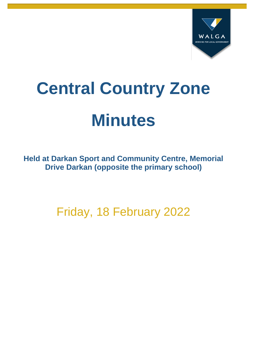

# **Central Country Zone Minutes**

**Held at Darkan Sport and Community Centre, Memorial Drive Darkan (opposite the primary school)**

Friday, 18 February 2022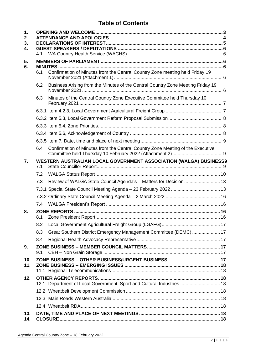## **Table of Contents**

| 1.<br>2.<br>3.<br>4. | 4.1 |                                                                                 |  |  |  |
|----------------------|-----|---------------------------------------------------------------------------------|--|--|--|
| 5.<br>6.             |     |                                                                                 |  |  |  |
|                      | 6.1 | Confirmation of Minutes from the Central Country Zone meeting held Friday 19    |  |  |  |
|                      | 6.2 | Business Arising from the Minutes of the Central Country Zone Meeting Friday 19 |  |  |  |
|                      | 6.3 | Minutes of the Central Country Zone Executive Committee held Thursday 10        |  |  |  |
|                      |     |                                                                                 |  |  |  |
|                      |     |                                                                                 |  |  |  |
|                      |     |                                                                                 |  |  |  |
|                      |     |                                                                                 |  |  |  |
|                      |     |                                                                                 |  |  |  |
|                      | 6.4 | Confirmation of Minutes from the Central Country Zone Meeting of the Executive  |  |  |  |
| 7.                   | 7.1 | WESTERN AUSTRALIAN LOCAL GOVERNMENT ASSOCIATION (WALGA) BUSINESS9               |  |  |  |
|                      | 7.2 |                                                                                 |  |  |  |
|                      | 7.3 | Review of WALGA State Council Agenda's - Matters for Decision  13               |  |  |  |
|                      |     |                                                                                 |  |  |  |
|                      |     |                                                                                 |  |  |  |
|                      |     |                                                                                 |  |  |  |
| 8.                   | 8.1 |                                                                                 |  |  |  |
|                      | 8.2 |                                                                                 |  |  |  |
|                      | 8.3 | Great Southern District Emergency Management Committee (DEMC)  17               |  |  |  |
|                      | 8.4 |                                                                                 |  |  |  |
| 9.                   | 9.1 |                                                                                 |  |  |  |
| 10.<br>11.           |     |                                                                                 |  |  |  |
| 12.                  |     | 12.1 Department of Local Government, Sport and Cultural Industries  18          |  |  |  |
|                      |     |                                                                                 |  |  |  |
|                      |     |                                                                                 |  |  |  |
|                      |     |                                                                                 |  |  |  |
| 13.<br>14.           |     |                                                                                 |  |  |  |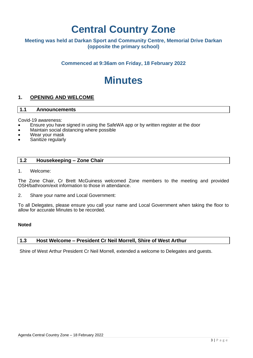# **Central Country Zone**

#### **Meeting was held at Darkan Sport and Community Centre, Memorial Drive Darkan (opposite the primary school)**

**Commenced at 9:36am on Friday, 18 February 2022**

# **Minutes**

#### <span id="page-2-0"></span>**1. OPENING AND WELCOME**

#### **1.1 Announcements**

Covid-19 awareness:

- Ensure you have signed in using the SafeWA app or by written register at the door
- Maintain social distancing where possible
- Wear your mask
- Sanitize regularly

#### **1.2 Housekeeping – Zone Chair**

1. Welcome:

The Zone Chair, Cr Brett McGuiness welcomed Zone members to the meeting and provided OSH/bathroom/exit information to those in attendance.

2. Share your name and Local Government:

To all Delegates, please ensure you call your name and Local Government when taking the floor to allow for accurate Minutes to be recorded.

#### **Noted**

#### **1.3 Host Welcome – President Cr Neil Morrell, Shire of West Arthur**

Shire of West Arthur President Cr Neil Morrell, extended a welcome to Delegates and guests.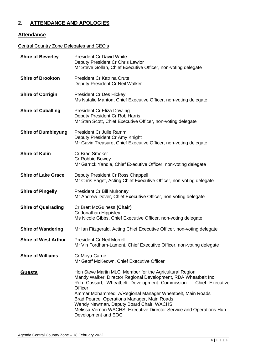### <span id="page-3-0"></span>**2. ATTENDANCE AND APOLOGIES**

#### **Attendance**

#### Central Country Zone Delegates and CEO's

| <b>Shire of Beverley</b>    | <b>President Cr David White</b><br>Deputy President Cr Chris Lawlor<br>Mr Steve Gollan, Chief Executive Officer, non-voting delegate                                                                                                                                                                                                                                                                                                                         |
|-----------------------------|--------------------------------------------------------------------------------------------------------------------------------------------------------------------------------------------------------------------------------------------------------------------------------------------------------------------------------------------------------------------------------------------------------------------------------------------------------------|
| <b>Shire of Brookton</b>    | <b>President Cr Katrina Crute</b><br>Deputy President Cr Neil Walker                                                                                                                                                                                                                                                                                                                                                                                         |
| <b>Shire of Corrigin</b>    | <b>President Cr Des Hickey</b><br>Ms Natalie Manton, Chief Executive Officer, non-voting delegate                                                                                                                                                                                                                                                                                                                                                            |
| <b>Shire of Cuballing</b>   | <b>President Cr Eliza Dowling</b><br>Deputy President Cr Rob Harris<br>Mr Stan Scott, Chief Executive Officer, non-voting delegate                                                                                                                                                                                                                                                                                                                           |
| <b>Shire of Dumbleyung</b>  | President Cr Julie Ramm<br>Deputy President Cr Amy Knight<br>Mr Gavin Treasure, Chief Executive Officer, non-voting delegate                                                                                                                                                                                                                                                                                                                                 |
| <b>Shire of Kulin</b>       | <b>Cr Brad Smoker</b><br>Cr Robbie Bowey<br>Mr Garrick Yandle, Chief Executive Officer, non-voting delegate                                                                                                                                                                                                                                                                                                                                                  |
| <b>Shire of Lake Grace</b>  | Deputy President Cr Ross Chappell<br>Mr Chris Paget, Acting Chief Executive Officer, non-voting delegate                                                                                                                                                                                                                                                                                                                                                     |
| <b>Shire of Pingelly</b>    | <b>President Cr Bill Mulroney</b><br>Mr Andrew Dover, Chief Executive Officer, non-voting delegate                                                                                                                                                                                                                                                                                                                                                           |
| <b>Shire of Quairading</b>  | Cr Brett McGuiness (Chair)<br>Cr Jonathan Hippisley<br>Ms Nicole Gibbs, Chief Executive Officer, non-voting delegate                                                                                                                                                                                                                                                                                                                                         |
| <b>Shire of Wandering</b>   | Mr Ian Fitzgerald, Acting Chief Executive Officer, non-voting delegate                                                                                                                                                                                                                                                                                                                                                                                       |
| <b>Shire of West Arthur</b> | <b>President Cr Neil Morrell</b><br>Mr Vin Fordham-Lamont, Chief Executive Officer, non-voting delegate                                                                                                                                                                                                                                                                                                                                                      |
| <b>Shire of Williams</b>    | Cr Moya Carne<br>Mr Geoff McKeown, Chief Executive Officer                                                                                                                                                                                                                                                                                                                                                                                                   |
| <b>Guests</b>               | Hon Steve Martin MLC, Member for the Agricultural Region<br>Mandy Walker, Director Regional Development, RDA Wheatbelt Inc<br>Rob Cossart, Wheatbelt Development Commission - Chief Executive<br>Officer<br>Ammar Mohammed, A/Regional Manager Wheatbelt, Main Roads<br>Brad Pearce, Operations Manager, Main Roads<br>Wendy Newman, Deputy Board Chair, WACHS<br>Melissa Vernon WACHS, Executive Director Service and Operations Hub<br>Development and EOC |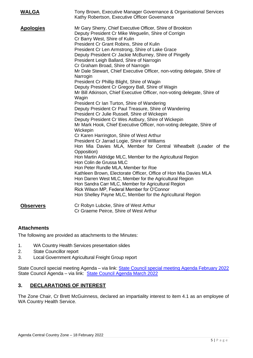| <b>WALGA</b>     | Tony Brown, Executive Manager Governance & Organisational Services<br>Kathy Robertson, Executive Officer Governance                                                                                                                                                                                                                                                                                                                                                                                                                                                                                                                                                                                                                                                                                                                                                                                                                                                                                                                                                                                                                                                                                                                                                                                                                                                                                                                                                                                                                                                                                    |  |  |  |
|------------------|--------------------------------------------------------------------------------------------------------------------------------------------------------------------------------------------------------------------------------------------------------------------------------------------------------------------------------------------------------------------------------------------------------------------------------------------------------------------------------------------------------------------------------------------------------------------------------------------------------------------------------------------------------------------------------------------------------------------------------------------------------------------------------------------------------------------------------------------------------------------------------------------------------------------------------------------------------------------------------------------------------------------------------------------------------------------------------------------------------------------------------------------------------------------------------------------------------------------------------------------------------------------------------------------------------------------------------------------------------------------------------------------------------------------------------------------------------------------------------------------------------------------------------------------------------------------------------------------------------|--|--|--|
| <b>Apologies</b> | Mr Gary Sherry, Chief Executive Officer, Shire of Brookton<br>Deputy President Cr Mike Weguelin, Shire of Corrigin<br>Cr Barry West, Shire of Kulin<br>President Cr Grant Robins, Shire of Kulin<br>President Cr Len Armstrong, Shire of Lake Grace<br>Deputy President Cr Jackie McBurney, Shire of Pingelly<br>President Leigh Ballard, Shire of Narrogin<br>Cr Graham Broad, Shire of Narrogin<br>Mr Dale Stewart, Chief Executive Officer, non-voting delegate, Shire of<br>Narrogin<br>President Cr Phillip Blight, Shire of Wagin<br>Deputy President Cr Gregory Ball, Shire of Wagin<br>Mr Bill Atkinson, Chief Executive Officer, non-voting delegate, Shire of<br>Wagin<br>President Cr Ian Turton, Shire of Wandering<br>Deputy President Cr Paul Treasure, Shire of Wandering<br>President Cr Julie Russell, Shire of Wickepin<br>Deputy President Cr Wes Astbury, Shire of Wickepin<br>Mr Mark Hook, Chief Executive Officer, non-voting delegate, Shire of<br>Wickepin<br>Cr Karen Harrington, Shire of West Arthur<br>President Cr Jarrad Logie, Shire of Williams<br>Hon Mia Davies MLA, Member for Central Wheatbelt (Leader of the<br>Opposition)<br>Hon Martin Aldridge MLC, Member for the Agricultural Region<br>Hon Colin de Grussa MLC<br>Hon Peter Rundle MLA, Member for Roe<br>Kathleen Brown, Electorate Officer, Office of Hon Mia Davies MLA<br>Hon Darren West MLC, Member for the Agricultural Region<br>Hon Sandra Carr MLC, Member for Agricultural Region<br>Rick Wilson MP, Federal Member for O'Connor<br>Hon Shelley Payne MLC, Member for the Agricultural Region |  |  |  |
| <b>Observers</b> | Cr Robyn Lubcke, Shire of West Arthur<br>Cr Graeme Peirce, Shire of West Arthur                                                                                                                                                                                                                                                                                                                                                                                                                                                                                                                                                                                                                                                                                                                                                                                                                                                                                                                                                                                                                                                                                                                                                                                                                                                                                                                                                                                                                                                                                                                        |  |  |  |

#### **Attachments**

The following are provided as attachments to the Minutes:

- 1. WA Country Health Services presentation slides
- 2. State Councillor report
- 3. Local Government Agricultural Freight Group report

State Council special meeting Agenda – via link: [State Council special meeting Agenda February 2022](https://walga.asn.au/getattachment/be0cd704-e07c-446f-93be-47b33269e922/State-Council-Special-Meeting-Agenda-23-February-2022.pdf) State Council Agenda – via link: [State Council Agenda March 2022](https://walga.asn.au/getattachment/4b194053-8aeb-4e8b-ac6f-608427e73dd2/State-Council-Agenda-2-March-2022.pdf)

#### <span id="page-4-0"></span>**3. DECLARATIONS OF INTEREST**

The Zone Chair, Cr Brett McGuinness, declared an impartiality interest to item 4.1 as an employee of WA Country Health Service.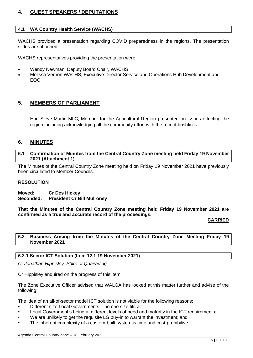#### <span id="page-5-0"></span>**4. GUEST SPEAKERS / DEPUTATIONS**

#### <span id="page-5-1"></span>**4.1 WA Country Health Service (WACHS)**

WACHS provided a presentation regarding COVID preparedness in the regions. The presentation slides are attached.

WACHS representatives providing the presentation were:

- Wendy Newman, Deputy Board Chair, WACHS
- Melissa Vernon WACHS, Executive Director Service and Operations Hub Development and EOC

#### <span id="page-5-2"></span>**5. MEMBERS OF PARLIAMENT**

Hon Steve Martin MLC, Member for the Agricultural Region presented on issues effecting the region including acknowledging all the community effort with the recent bushfires.

#### <span id="page-5-3"></span>**6. MINUTES**

#### <span id="page-5-4"></span>**6.1 Confirmation of Minutes from the Central Country Zone meeting held Friday 19 November 2021 (Attachment 1)**

The Minutes of the Central Country Zone meeting held on Friday 19 November 2021 have previously been circulated to Member Councils.

#### **RESOLUTION**

**Moved: Cr Des Hickey Seconded: President Cr Bill Mulroney**

**That the Minutes of the Central Country Zone meeting held Friday 19 November 2021 are confirmed as a true and accurate record of the proceedings.** 

**CARRIED**

#### <span id="page-5-5"></span>**6.2 Business Arising from the Minutes of the Central Country Zone Meeting Friday 19 November 2021**

#### **6.2.1 Sector ICT Solution (Item 12.1 19 November 2021)**

*Cr Jonathan Hippisley, Shire of Quairading*

Cr Hippisley enquired on the progress of this item.

The Zone Executive Officer advised that WALGA has looked at this matter further and advise of the following:

The idea of an all-of-sector model ICT solution is not viable for the following reasons:

- Different size Local Governments no one size fits all;
- Local Government's being at different levels of need and maturity in the ICT requirements;
- We are unlikely to get the requisite LG buy-in to warrant the investment; and
- The inherent complexity of a custom-built system is time and cost-prohibitive.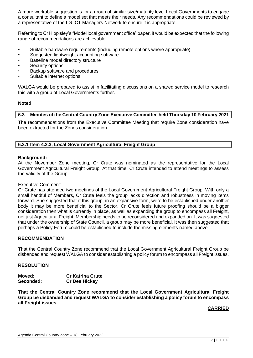A more workable suggestion is for a group of similar size/maturity level Local Governments to engage a consultant to define a model set that meets their needs. Any recommendations could be reviewed by a representative of the LG ICT Managers Network to ensure it is appropriate.

Referring to Cr Hippisley's "Model local government office" paper, it would be expected that the following range of recommendations are achievable:

- Suitable hardware requirements (including remote options where appropriate)
- Suggested lightweight accounting software
- Baseline model directory structure
- Security options
- Backup software and procedures
- Suitable internet options

WALGA would be prepared to assist in facilitating discussions on a shared service model to research this with a group of Local Governments further.

#### **Noted**

#### <span id="page-6-0"></span>**6.3 Minutes of the Central Country Zone Executive Committee held Thursday 10 February 2021**

The recommendations from the Executive Committee Meeting that require Zone consideration have been extracted for the Zones consideration.

#### <span id="page-6-1"></span>**6.3.1 Item 4.2.3, Local Government Agricultural Freight Group**

#### **Background:**

At the November Zone meeting, Cr Crute was nominated as the representative for the Local Government Agricultural Freight Group. At that time, Cr Crute intended to attend meetings to assess the validity of the Group.

#### Executive Comment:

Cr Crute has attended two meetings of the Local Government Agricultural Freight Group. With only a small handful of Members, Cr Crute feels the group lacks direction and robustness in moving items forward. She suggested that if this group, in an expansive form, were to be established under another body it may be more beneficial to the Sector. Cr Crute feels future proofing should be a bigger consideration then what is currently in place, as well as expanding the group to encompass all Freight, not just Agricultural Freight. Membership needs to be reconsidered and expanded on. It was suggested that under the ownership of State Council, a group may be more beneficial. It was then suggested that perhaps a Policy Forum could be established to include the missing elements named above.

#### **RECOMMENDATION**

That the Central Country Zone recommend that the Local Government Agricultural Freight Group be disbanded and request WALGA to consider establishing a policy forum to encompass all Freight issues.

#### **RESOLUTION**

| Moved:    | <b>Cr Katrina Crute</b> |
|-----------|-------------------------|
| Seconded: | <b>Cr Des Hickey</b>    |

<span id="page-6-2"></span>**That the Central Country Zone recommend that the Local Government Agricultural Freight Group be disbanded and request WALGA to consider establishing a policy forum to encompass all Freight issues.**

#### **CARRIED**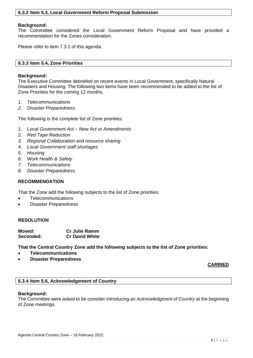#### **Background:**

The Committee considered the Local Government Reform Proposal and have provided a recommendation for the Zones consideration.

Please refer to item 7.3.1 of this agenda.

#### <span id="page-7-0"></span>**6.3.3 Item 5.4, Zone Priorities**

#### **Background:**

The Executive Committee debriefed on recent events in Local Government, specifically Natural Disasters and Housing. The following two items have been recommended to be added to the list of Zone Priorities for the coming 12 months.

- *1. Telecommunications*
- *2. Disaster Preparedness*

The following is the complete list of Zone priorities:

- *1. Local Government Act – New Act or Amendments*
- *2. Red Tape Reduction*
- *3. Regional Collaboration and resource sharing*
- *4. Local Government staff shortages*
- *5. Housing*
- *6. Work Health & Safety*
- *7. Telecommunications*
- *8. Disaster Preparedness*

#### **RECOMMENDATION**

That the Zone add the following subjects to the list of Zone priorities:

- Telecommunications
- Disaster Preparedness

#### **RESOLUTION**

| Moved:    | <b>Cr Julie Ramm</b>  |
|-----------|-----------------------|
| Seconded: | <b>Cr David White</b> |

**That the Central Country Zone add the following subjects to the list of Zone priorities:**

- **Telecommunications**
- **Disaster Preparedness**

#### **CARRIED**

#### <span id="page-7-1"></span>**6.3.4 Item 5.6, Acknowledgement of Country**

#### **Background:**

The Committee were asked to be consider introducing an *Acknowledgment of Country* at the beginning of Zone meetings.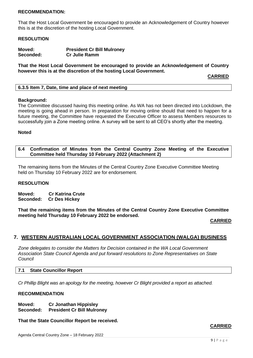#### **RECOMMENDATION:**

That the Host Local Government be encouraged to provide an Acknowledgement of Country however this is at the discretion of the hosting Local Government.

#### **RESOLUTION**

| Moved:    | <b>President Cr Bill Mulroney</b> |
|-----------|-----------------------------------|
| Seconded: | <b>Cr Julie Ramm</b>              |

**That the Host Local Government be encouraged to provide an Acknowledgement of Country however this is at the discretion of the hosting Local Government.** 

**CARRIED**

<span id="page-8-0"></span>

| 6.3.5 Item 7, Date, time and place of next meeting |  |
|----------------------------------------------------|--|
|                                                    |  |
|                                                    |  |
|                                                    |  |

#### **Background:**

The Committee discussed having this meeting online. As WA has not been directed into Lockdown, the meeting is going ahead in person. In preparation for moving online should that need to happen for a future meeting, the Committee have requested the Executive Officer to assess Members resources to successfully join a Zone meeting online. A survey will be sent to all CEO's shortly after the meeting.

#### **Noted**

#### <span id="page-8-1"></span>**6.4 Confirmation of Minutes from the Central Country Zone Meeting of the Executive Committee held Thursday 10 February 2022 (Attachment 2)**

The remaining items from the Minutes of the Central Country Zone Executive Committee Meeting held on Thursday 10 February 2022 are for endorsement.

#### **RESOLUTION**

**Moved: Cr Katrina Crute Seconded: Cr Des Hickey**

**That the remaining items from the Minutes of the Central Country Zone Executive Committee meeting held Thursday 10 February 2022 be endorsed.**

**CARRIED**

#### <span id="page-8-2"></span>**7. WESTERN AUSTRALIAN LOCAL GOVERNMENT ASSOCIATION (WALGA) BUSINESS**

*Zone delegates to consider the Matters for Decision contained in the WA Local Government Association State Council Agenda and put forward resolutions to Zone Representatives on State Council*

#### <span id="page-8-3"></span>**7.1 State Councillor Report**

*Cr Phillip Blight was an apology for the meeting, however Cr Blight provided a report as attached.*

#### **RECOMMENDATION**

**Moved: Cr Jonathan Hippisley Seconded: President Cr Bill Mulroney**

**That the State Councillor Report be received.**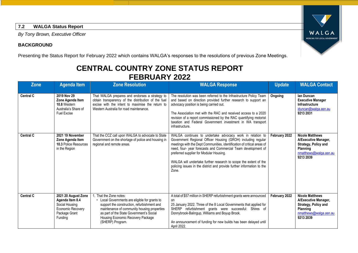#### **7.2 WALGA Status Report**

*By Tony Brown, Executive Officer*

#### **BACKGROUND**

Presenting the Status Report for February 2022 which contains WALGA's responses to the resolutions of previous Zone Meetings.

## **CENTRAL COUNTRY ZONE STATUS REPORT FEBRUARY 2022**

<span id="page-9-0"></span>

| <b>Zone</b>      | <b>Agenda Item</b>                                                                                        | <b>Zone Resolution</b>                                                                                                                                                                                                                                                  | <b>WALGA Response</b>                                                                                                                                                                                                                                                                                                                                                                                                                                                   | <b>Update</b> | <b>WALGA Contact</b>                                                                                                             |
|------------------|-----------------------------------------------------------------------------------------------------------|-------------------------------------------------------------------------------------------------------------------------------------------------------------------------------------------------------------------------------------------------------------------------|-------------------------------------------------------------------------------------------------------------------------------------------------------------------------------------------------------------------------------------------------------------------------------------------------------------------------------------------------------------------------------------------------------------------------------------------------------------------------|---------------|----------------------------------------------------------------------------------------------------------------------------------|
| <b>Central C</b> | 2019 Nov 29<br>Zone Agenda Item<br>10.8 Western<br>Australia's Share of<br>Fuel Excise                    | That WALGA prepares and endorses a strategy to<br>obtain transparency of the distribution of the fuel<br>excise with the intent to maximise the return to<br>Western Australia for road maintenance.                                                                    | The resolution was been referred to the Infrastructure Policy Team<br>and based on direction provided further research to support an<br>advocacy position is being carried out.<br>The Association met with the RAC and received access to a 2020<br>revision of a report commissioned by the RAC quantifying motorist<br>taxation and Federal Government investment in WA transport<br>infrastructure.                                                                 | Ongoing       | lan Duncan<br><b>Executive Manager</b><br><b>Infrastructure</b><br>iduncan@walga.asn.au<br>9213 2031                             |
| <b>Central C</b> | 2021 19 November<br>Zone Agenda Item<br>10.3 Police Resources<br>in the Region                            | That the CCZ call upon WALGA to advocate to State<br>Government on the shortage of police and housing in<br>regional and remote areas.                                                                                                                                  | WALGA continues to undertake advocacy work in relation to<br>Government Regional Officer Housing (GROH) including regular<br>meetings with the Dept Communities, identification of critical areas of<br>need, four- year forecasts and Commercial Team development of<br>preferred supplier for Modular Housing.<br>WALGA will undertake further research to scope the extent of the<br>policing issues in the district and provide further information to the<br>Zone. | February 2022 | <b>Nicole Matthews</b><br>A/Executive Manager,<br>Strategy, Policy and<br><b>Planning</b><br>nmatthews@walga.asn.au<br>9213 2039 |
| <b>Central C</b> | 2021 20 August Zone<br>Agenda Item 8.4<br>Social Housing<br>Economic Recovery<br>Package Grant<br>Funding | That the Zone notes:<br>Local Governments are eligible for grants to<br>support the construction, refurbishment and<br>maintenance of community housing properties<br>as part of the State Government's Social<br>Housing Economic Recovery Package<br>(SHERP) Program. | A total of \$57 million in SHERP refurbishment grants were announced<br>on<br>25 January 2022. Three of the 8 Local Governments that applied for<br>SHERP refurbishment grants were successful: Shires of<br>Donnybrook-Balingup, Williams and Boyup Brook.<br>An announcement of funding for new builds has been delayed until<br>April 2022.                                                                                                                          | February 2022 | <b>Nicole Matthews</b><br>A/Executive Manager,<br>Strategy, Policy and<br><b>Planning</b><br>nmatthews@walga.asn.au<br>9213 2039 |

WALGA WORKING FOR LOCAL GOVERNMENT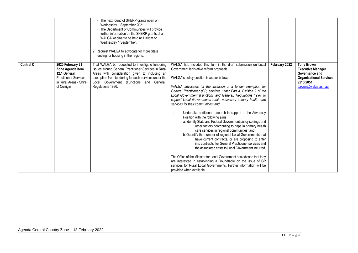|                  |                                                                                                                               | The next round of SHERP grants open on<br>Wednesday 1 September 2021.<br>The Department of Communities will provide<br>further information on the SHERP grants at a<br>WALGA webinar to be held at 1:30pm on<br>Wednesday 1 September.<br>2. Request WALGA to advocate for more State<br>funding for housing in the regions. |                                                                                                                                                                                                                                                                                                                                                                                                                                                                                                                                                                                                                                                                                                                                                                                                                                                                                                                                                                                                                                                                                                                                                                                                                                |               |                                                                                                                                       |
|------------------|-------------------------------------------------------------------------------------------------------------------------------|------------------------------------------------------------------------------------------------------------------------------------------------------------------------------------------------------------------------------------------------------------------------------------------------------------------------------|--------------------------------------------------------------------------------------------------------------------------------------------------------------------------------------------------------------------------------------------------------------------------------------------------------------------------------------------------------------------------------------------------------------------------------------------------------------------------------------------------------------------------------------------------------------------------------------------------------------------------------------------------------------------------------------------------------------------------------------------------------------------------------------------------------------------------------------------------------------------------------------------------------------------------------------------------------------------------------------------------------------------------------------------------------------------------------------------------------------------------------------------------------------------------------------------------------------------------------|---------------|---------------------------------------------------------------------------------------------------------------------------------------|
| <b>Central C</b> | 2020 February 21<br>Zone Agenda Item<br>12.1 General<br><b>Practitioner Services</b><br>in Rural Areas - Shire<br>of Corrigin | That WALGA be requested to investigate tendering<br>issues around General Practitioner Services in Rural<br>Areas with consideration given to including an<br>exemption from tendering for such services under the<br>Local Government (Functions and General)<br>Regulations 1996.                                          | WALGA has included this item in the draft submission on Local<br>Government legislative reform proposals.<br>WALGA's policy position is as per below;<br>WALGA advocates for the inclusion of a tender exemption for<br>General Practitioner (GP) services under Part 4, Division 2 of the<br>Local Government (Functions and General) Regulations 1996, to<br>support Local Governments retain necessary primary health care<br>services for their communities; and<br>1.<br>Undertake additional research in support of the Advocacy<br>Position with the following aims:<br>a. Identify State and Federal Government policy settings and<br>other factors contributing to gaps in primary health<br>care services in regional communities; and<br>b. Quantify the number of regional Local Governments that<br>have current contracts, or are proposing to enter<br>into contracts, for General Practitioner services and<br>the associated costs to Local Government incurred.<br>The Office of the Minister for Local Government has advised that they<br>are interested in establishing a Roundtable on the issue of GP<br>services for Rural Local Governments. Further information will be<br>provided when available. | February 2022 | <b>Tony Brown</b><br><b>Executive Manager</b><br>Governance and<br><b>Organisational Services</b><br>9213 2051<br>tbrown@walqa.asn.au |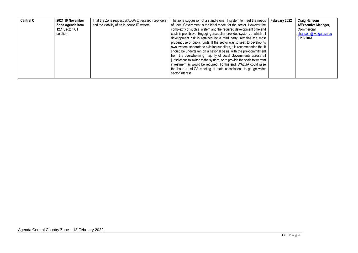| <b>Central C</b><br>2021 19 November<br>Zone Agenda Item<br>12.1 Sector ICT<br>solution | That the Zone request WALGA to research providers<br>and the viability of an in-house IT system. | The zone suggestion of a stand-alone IT system to meet the needs<br>of Local Government is the ideal model for the sector. However the<br>complexity of such a system and the required development time and<br>costs is prohibitive. Engaging a supplier-provided system, of which all<br>development risk is retained by a third party, remains the most<br>prudent use of public funds. If the sector was to seek to develop its<br>own system, separate to existing suppliers, it is recommended that it<br>should be undertaken on a national basis, with the pre-commitment | February 2022 | <b>Craig Hansom</b><br>A/Executive Manager,<br><b>Commercial</b><br>chansom@walqa.asn.au<br>9213 2061 |
|-----------------------------------------------------------------------------------------|--------------------------------------------------------------------------------------------------|----------------------------------------------------------------------------------------------------------------------------------------------------------------------------------------------------------------------------------------------------------------------------------------------------------------------------------------------------------------------------------------------------------------------------------------------------------------------------------------------------------------------------------------------------------------------------------|---------------|-------------------------------------------------------------------------------------------------------|
|                                                                                         |                                                                                                  | from the overwhelming majority of Local Governments across all<br>jurisdictions to switch to the system, so to provide the scale to warrant<br>investment as would be required. To this end, WALGA could raise<br>the issue at ALGA meeting of state associations to gauge wider<br>sector interest.                                                                                                                                                                                                                                                                             |               |                                                                                                       |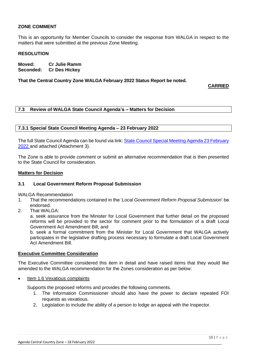#### **ZONE COMMENT**

This is an opportunity for Member Councils to consider the response from WALGA in respect to the matters that were submitted at the previous Zone Meeting.

#### **RESOLUTION**

**Moved: Cr Julie Ramm Seconded: Cr Des Hickey**

**That the Central Country Zone WALGA February 2022 Status Report be noted.**

**CARRIED**

#### <span id="page-12-0"></span>**7.3 Review of WALGA State Council Agenda's – Matters for Decision**

#### <span id="page-12-1"></span>**7.3.1 Special State Council Meeting Agenda – 23 February 2022**

The full State Council Agenda can be found via link: State Council Special Meeting Agenda 23 February [2022](https://walga.asn.au/getattachment/be0cd704-e07c-446f-93be-47b33269e922/State-Council-Special-Meeting-Agenda-23-February-2022.pdf) and attached (Attachment 3).

The Zone is able to provide comment or submit an alternative recommendation that is then presented to the State Council for consideration.

#### **Matters for Decision**

#### **3.1 Local Government Reform Proposal Submission**

WALGA Recommendation

- 1. That the recommendations contained in the '*Local Government Reform Proposal Submission*' be endorsed.
- 2. That WALGA:

a. seek assurance from the Minister for Local Government that further detail on the proposed reforms will be provided to the sector for comment prior to the formulation of a draft Local Government Act Amendment Bill; and

b. seek a formal commitment from the Minister for Local Government that WALGA actively participates in the legislative drafting process necessary to formulate a draft Local Government Act Amendment Bill.

#### **Executive Committee Consideration**

The Executive Committee considered this item in detail and have raised items that they would like amended to the WALGA recommendation for the Zones consideration as per below:

Item 1.6 Vexatious complaints

Supports the proposed reforms and provides the following comments.

- 1. The Information Commissioner should also have the power to declare repeated FOI requests as vexatious.
- 2. Legislation to include the ability of a person to lodge an appeal with the Inspector.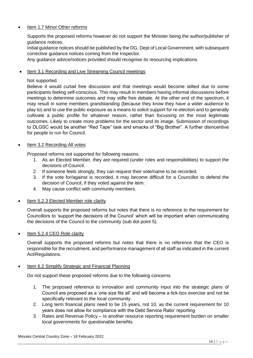#### Item 1.7 Minor Other reforms

Supports the proposed reforms however do not support the Minister being the author/publisher of guidance notices.

Initial guidance notices should be published by the DG, Dept of Local Government, with subsequent corrective guidance notices coming from the Inspector.

Any guidance advice/notices provided should recognise its resourcing implications.

#### Item 3.1 Recording and Live Streaming Council meetings

#### Not supported.

Believe it would curtail free discussion and that meetings would become stilted due to some participants feeling self-conscious. This may result in members having informal discussions before meetings to determine outcomes and may stifle free debate. At the other end of the spectrum, it may result in some members grandstanding (because they know they have a wider audience to play to) and to use the public exposure as a means to solicit support for re-election and to generally cultivate a public profile for whatever reason, rather than focussing on the most legitimate outcomes. Likely to create more problems for the sector and its image. Submission of recordings to DLGSC would be another "Red Tape" task and smacks of "Big Brother". A further disincentive for people to run for Council.

#### Item 3.2 Recording All votes

Proposed reforms not supported for following reasons.

- 1. As an Elected Member, they are required (under roles and responsibilities) to support the decisions of Council.
- 2. If someone feels strongly, they can request their vote/name to be recorded.
- 3. If the vote for/against is recorded, it may become difficult for a Councillor to defend the decision of Council, if they voted against the item.
- 4. May cause conflict with community members.
- Item 5.2.3 Elected Member role clarity

Overall supports the proposed reforms but notes that there is no reference to the requirement for Councillors to 'support the decisions of the Council' which will be important when communicating the decisions of the Council to the community (sub dot point 5).

• Item 5.2.4 CEO Role clarity

Overall supports the proposed reforms but notes that there is no reference that the CEO is responsible for the recruitment, and performance management of all staff as indicated in the current Act/Regulations.

#### • Item 6.2 Simplify Strategic and Financial Planning

Do not support these proposed reforms due to the following concerns.

- 1. The proposed reference to innovation and community input into the strategic plans of Council are proposed as a 'one size fits all' and will become a tick-box exercise and not be specifically relevant to the local community.
- 2. Long term financial plans need to be 15 years, not 10, as the current requirement for 10 years does not allow for compliance with the Debt Service Ratio' reporting
- 3. Rates and Revenue Policy Is another resource reporting requirement burden on smaller local governments for questionable benefits.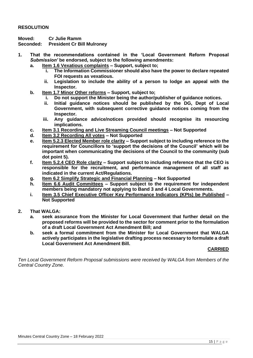#### **RESOLUTION**

**Moved: Cr Julie Ramm**

**Seconded: President Cr Bill Mulroney** 

- **1. That the recommendations contained in the 'Local Government Reform Proposal** *Submission'* **be endorsed, subject to the following amendments:**
	- **a. Item 1.6 Vexatious complaints – Support, subject to;**
		- **i. The Information Commissioner should also have the power to declare repeated FOI requests as vexatious.**
		- **ii. Legislation to include the ability of a person to lodge an appeal with the Inspector.**
	- **b. Item 1.7 Minor Other reforms – Support, subject to;**
		- **i. Do not support the Minister being the author/publisher of guidance notices.**
		- **ii. Initial guidance notices should be published by the DG, Dept of Local Government, with subsequent corrective guidance notices coming from the Inspector.**
		- **iii. Any guidance advice/notices provided should recognise its resourcing implications.**
	- **c. Item 3.1 Recording and Live Streaming Council meetings – Not Supported**
	- **d. Item 3.2 Recording All votes – Not Supported**
	- **e. Item 5.2.3 Elected Member role clarity – Support subject to including reference to the requirement for Councillors to 'support the decisions of the Council' which will be important when communicating the decisions of the Council to the community (sub dot point 5).**
	- **f. Item 5.2.4 CEO Role clarity – Support subject to including reference that the CEO is responsible for the recruitment, and performance management of all staff as indicated in the current Act/Regulations.**
	- **g. Item 6.2 Simplify Strategic and Financial Planning – Not Supported**
	- **h. Item 6.6 Audit Committees – Support subject to the requirement for independent members being mandatory not applying to Band 3 and 4 Local Governments.**
	- **i. Item 3.5 Chief Executive Officer Key Performance Indicators (KPIs) be Published – Not Supported**
- **2. That WALGA:**
	- **a. seek assurance from the Minister for Local Government that further detail on the proposed reforms will be provided to the sector for comment prior to the formulation of a draft Local Government Act Amendment Bill; and**
	- **b. seek a formal commitment from the Minister for Local Government that WALGA actively participates in the legislative drafting process necessary to formulate a draft Local Government Act Amendment Bill.**

#### **CARRIED**

<span id="page-14-0"></span>*Ten Local Government Reform Proposal submissions were received by WALGA from Members of the Central Country Zone.*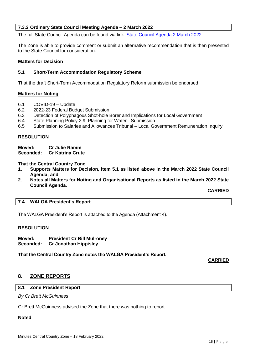#### **7.3.2 Ordinary State Council Meeting Agenda – 2 March 2022**

The full State Council Agenda can be found via link: [State Council Agenda 2 March 2022](https://walga.asn.au/getattachment/4b194053-8aeb-4e8b-ac6f-608427e73dd2/State-Council-Agenda-2-March-2022.pdf)

The Zone is able to provide comment or submit an alternative recommendation that is then presented to the State Council for consideration.

#### **Matters for Decision**

#### **5.1 Short-Term Accommodation Regulatory Scheme**

That the draft Short-Term Accommodation Regulatory Reform submission be endorsed

#### **Matters for Noting**

- 6.1 COVID-19 Update
- 6.2 2022-23 Federal Budget Submission
- 6.3 Detection of Polyphagous Shot-hole Borer and Implications for Local Government
- 6.4 State Planning Policy 2.9: Planning for Water Submission
- 6.5 Submission to Salaries and Allowances Tribunal Local Government Remuneration Inquiry

#### **RESOLUTION**

**Moved: Cr Julie Ramm Seconded: Cr Katrina Crute**

**That the Central Country Zone** 

- **1. Supports Matters for Decision, item 5.1 as listed above in the March 2022 State Council Agenda; and**
- **2. Notes all Matters for Noting and Organisational Reports as listed in the March 2022 State Council Agenda.**

**CARRIED**

#### <span id="page-15-0"></span>**7.4 WALGA President's Report**

The WALGA President's Report is attached to the Agenda (Attachment 4).

#### **RESOLUTION**

**Moved: President Cr Bill Mulroney Seconded: Cr Jonathan Hippisley**

**That the Central Country Zone notes the WALGA President's Report.**

#### **CARRIED**

#### <span id="page-15-2"></span><span id="page-15-1"></span>**8. ZONE REPORTS**

#### **8.1 Zone President Report**

*By Cr Brett McGuinness*

Cr Brett McGuinness advised the Zone that there was nothing to report.

#### <span id="page-15-3"></span>**Noted**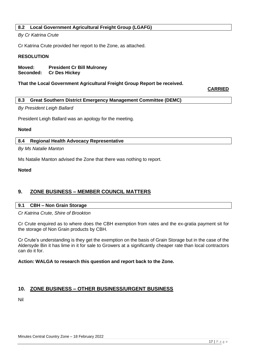#### **8.2 Local Government Agricultural Freight Group (LGAFG)**

#### *By Cr Katrina Crute*

Cr Katrina Crute provided her report to the Zone, as attached.

#### **RESOLUTION**

**Moved: President Cr Bill Mulroney Seconded: Cr Des Hickey**

#### **That the Local Government Agricultural Freight Group Report be received.**

**CARRIED**

#### <span id="page-16-0"></span>**8.3 Great Southern District Emergency Management Committee (DEMC)**

#### *By President Leigh Ballard*

President Leigh Ballard was an apology for the meeting.

#### **Noted**

#### <span id="page-16-1"></span>**8.4 Regional Health Advocacy Representative**

*By Ms Natalie Manton*

Ms Natalie Manton advised the Zone that there was nothing to report.

#### **Noted**

#### <span id="page-16-2"></span>**9. ZONE BUSINESS – MEMBER COUNCIL MATTERS**

#### <span id="page-16-3"></span>**9.1 CBH – Non Grain Storage**

*Cr Katrina Crute, Shire of Brookton*

Cr Crute enquired as to where does the CBH exemption from rates and the ex-gratia payment sit for the storage of Non Grain products by CBH.

Cr Crute's understanding is they get the exemption on the basis of Grain Storage but in the case of the Aldersyde Bin it has lime in it for sale to Growers at a significantly cheaper rate than local contractors can do it for.

#### **Action: WALGA to research this question and report back to the Zone.**

#### <span id="page-16-4"></span>**10. ZONE BUSINESS – OTHER BUSINESS/URGENT BUSINESS**

Nil